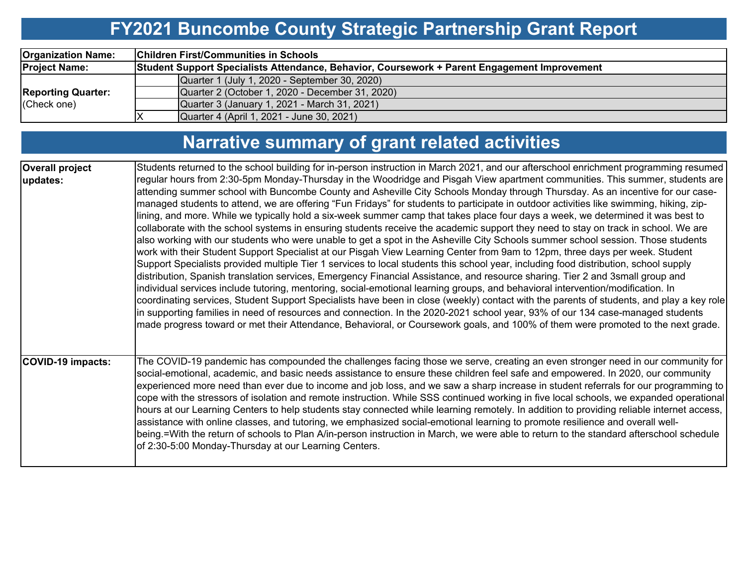# **FY2021 Buncombe County Strategic Partnership Grant Report**

| <b>Organization Name:</b> | <b>Children First/Communities in Schools</b>                                                 |  |  |  |  |  |  |  |  |  |
|---------------------------|----------------------------------------------------------------------------------------------|--|--|--|--|--|--|--|--|--|
| <b>Project Name:</b>      | Student Support Specialists Attendance, Behavior, Coursework + Parent Engagement Improvement |  |  |  |  |  |  |  |  |  |
|                           | Quarter 1 (July 1, 2020 - September 30, 2020)                                                |  |  |  |  |  |  |  |  |  |
| <b>Reporting Quarter:</b> | Quarter 2 (October 1, 2020 - December 31, 2020)                                              |  |  |  |  |  |  |  |  |  |
| (Check one)               | Quarter 3 (January 1, 2021 - March 31, 2021)                                                 |  |  |  |  |  |  |  |  |  |
|                           | Quarter 4 (April 1, 2021 - June 30, 2021)                                                    |  |  |  |  |  |  |  |  |  |

# **Narrative summary of grant related activities**

| <b>Overall project</b> | Students returned to the school building for in-person instruction in March 2021, and our afterschool enrichment programming resumed                                                                                                                                                                                                                                                                                                                                                                                                                                                                                                                                                                                                                                                                                                                                                                                                                                                                                                                                                                                                                                                                                                                                                                                                                                                                                                                                                                                                                                                                                                                                                                                                                                                   |
|------------------------|----------------------------------------------------------------------------------------------------------------------------------------------------------------------------------------------------------------------------------------------------------------------------------------------------------------------------------------------------------------------------------------------------------------------------------------------------------------------------------------------------------------------------------------------------------------------------------------------------------------------------------------------------------------------------------------------------------------------------------------------------------------------------------------------------------------------------------------------------------------------------------------------------------------------------------------------------------------------------------------------------------------------------------------------------------------------------------------------------------------------------------------------------------------------------------------------------------------------------------------------------------------------------------------------------------------------------------------------------------------------------------------------------------------------------------------------------------------------------------------------------------------------------------------------------------------------------------------------------------------------------------------------------------------------------------------------------------------------------------------------------------------------------------------|
| updates:               | regular hours from 2:30-5pm Monday-Thursday in the Woodridge and Pisgah View apartment communities. This summer, students are<br>attending summer school with Buncombe County and Asheville City Schools Monday through Thursday. As an incentive for our case-<br>managed students to attend, we are offering "Fun Fridays" for students to participate in outdoor activities like swimming, hiking, zip-<br>lining, and more. While we typically hold a six-week summer camp that takes place four days a week, we determined it was best to<br>collaborate with the school systems in ensuring students receive the academic support they need to stay on track in school. We are<br>also working with our students who were unable to get a spot in the Asheville City Schools summer school session. Those students<br>work with their Student Support Specialist at our Pisgah View Learning Center from 9am to 12pm, three days per week. Student<br>Support Specialists provided multiple Tier 1 services to local students this school year, including food distribution, school supply<br>distribution, Spanish translation services, Emergency Financial Assistance, and resource sharing. Tier 2 and 3small group and<br>individual services include tutoring, mentoring, social-emotional learning groups, and behavioral intervention/modification. In<br>coordinating services, Student Support Specialists have been in close (weekly) contact with the parents of students, and play a key role<br>in supporting families in need of resources and connection. In the 2020-2021 school year, 93% of our 134 case-managed students<br>made progress toward or met their Attendance, Behavioral, or Coursework goals, and 100% of them were promoted to the next grade. |
| COVID-19 impacts:      | The COVID-19 pandemic has compounded the challenges facing those we serve, creating an even stronger need in our community for<br>social-emotional, academic, and basic needs assistance to ensure these children feel safe and empowered. In 2020, our community<br>$ $ experienced more need than ever due to income and job loss, and we saw a sharp increase in student referrals for our programming to<br>cope with the stressors of isolation and remote instruction. While SSS continued working in five local schools, we expanded operational<br>hours at our Learning Centers to help students stay connected while learning remotely. In addition to providing reliable internet access,<br>assistance with online classes, and tutoring, we emphasized social-emotional learning to promote resilience and overall well-<br>being.=With the return of schools to Plan A/in-person instruction in March, we were able to return to the standard afterschool schedule<br>of 2:30-5:00 Monday-Thursday at our Learning Centers.                                                                                                                                                                                                                                                                                                                                                                                                                                                                                                                                                                                                                                                                                                                                              |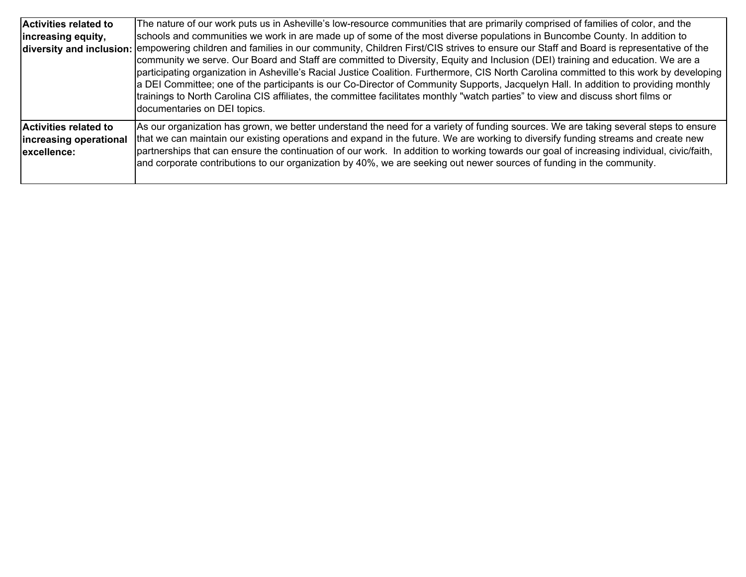| <b>Activities related to</b><br>increasing equity,                     | The nature of our work puts us in Asheville's low-resource communities that are primarily comprised of families of color, and the<br>schools and communities we work in are made up of some of the most diverse populations in Buncombe County. In addition to<br>diversity and inclusion: empowering children and families in our community, Children First/CIS strives to ensure our Staff and Board is representative of the<br>community we serve. Our Board and Staff are committed to Diversity, Equity and Inclusion (DEI) training and education. We are a<br>participating organization in Asheville's Racial Justice Coalition. Furthermore, CIS North Carolina committed to this work by developing  <br>a DEI Committee; one of the participants is our Co-Director of Community Supports, Jacquelyn Hall. In addition to providing monthly<br>trainings to North Carolina CIS affiliates, the committee facilitates monthly "watch parties" to view and discuss short films or<br>documentaries on DEI topics. |
|------------------------------------------------------------------------|-----------------------------------------------------------------------------------------------------------------------------------------------------------------------------------------------------------------------------------------------------------------------------------------------------------------------------------------------------------------------------------------------------------------------------------------------------------------------------------------------------------------------------------------------------------------------------------------------------------------------------------------------------------------------------------------------------------------------------------------------------------------------------------------------------------------------------------------------------------------------------------------------------------------------------------------------------------------------------------------------------------------------------|
| <b>Activities related to</b><br>increasing operational<br>lexcellence: | As our organization has grown, we better understand the need for a variety of funding sources. We are taking several steps to ensure<br>that we can maintain our existing operations and expand in the future. We are working to diversify funding streams and create new<br>partnerships that can ensure the continuation of our work. In addition to working towards our goal of increasing individual, civic/faith,<br>and corporate contributions to our organization by 40%, we are seeking out newer sources of funding in the community.                                                                                                                                                                                                                                                                                                                                                                                                                                                                             |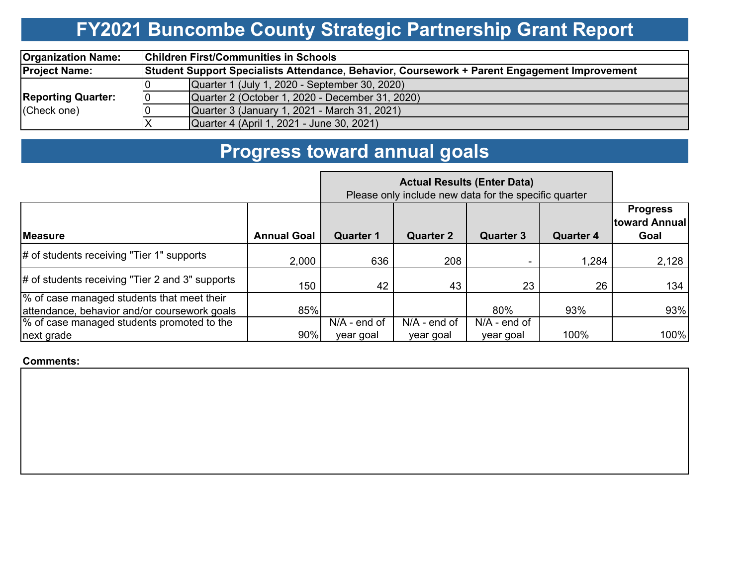# **FY2021 Buncombe County Strategic Partnership Grant Report**

| <b>Organization Name:</b> |                                                                                              | <b>Children First/Communities in Schools</b>    |  |  |  |  |  |  |
|---------------------------|----------------------------------------------------------------------------------------------|-------------------------------------------------|--|--|--|--|--|--|
| <b>Project Name:</b>      | Student Support Specialists Attendance, Behavior, Coursework + Parent Engagement Improvement |                                                 |  |  |  |  |  |  |
|                           |                                                                                              | Quarter 1 (July 1, 2020 - September 30, 2020)   |  |  |  |  |  |  |
| <b>Reporting Quarter:</b> |                                                                                              | Quarter 2 (October 1, 2020 - December 31, 2020) |  |  |  |  |  |  |
| (Check one)               |                                                                                              | Quarter 3 (January 1, 2021 - March 31, 2021)    |  |  |  |  |  |  |
|                           |                                                                                              | Quarter 4 (April 1, 2021 - June 30, 2021)       |  |  |  |  |  |  |

#### **Progress toward annual goals**

|                                                                                            |                    | Please only include new data for the specific quarter |                             |                             |                  |                                          |
|--------------------------------------------------------------------------------------------|--------------------|-------------------------------------------------------|-----------------------------|-----------------------------|------------------|------------------------------------------|
| <b>Measure</b>                                                                             | <b>Annual Goal</b> | <b>Quarter 1</b>                                      | <b>Quarter 2</b>            | <b>Quarter 3</b>            | <b>Quarter 4</b> | <b>Progress</b><br>toward Annual<br>Goal |
| # of students receiving "Tier 1" supports                                                  | 2,000              | 636                                                   | 208                         |                             | 1,284            | 2,128                                    |
| $\#$ of students receiving "Tier 2 and 3" supports                                         | 150                | 42                                                    | 43                          | 23                          | 26               | 134                                      |
| % of case managed students that meet their<br>attendance, behavior and/or coursework goals | 85%                |                                                       |                             | 80%                         | 93%              | 93%                                      |
| % of case managed students promoted to the<br>next grade                                   | 90%                | $N/A$ - end of<br>year goal                           | $N/A$ - end of<br>year goal | $N/A$ - end of<br>year goal | 100%             | 100%                                     |

**Comments:**